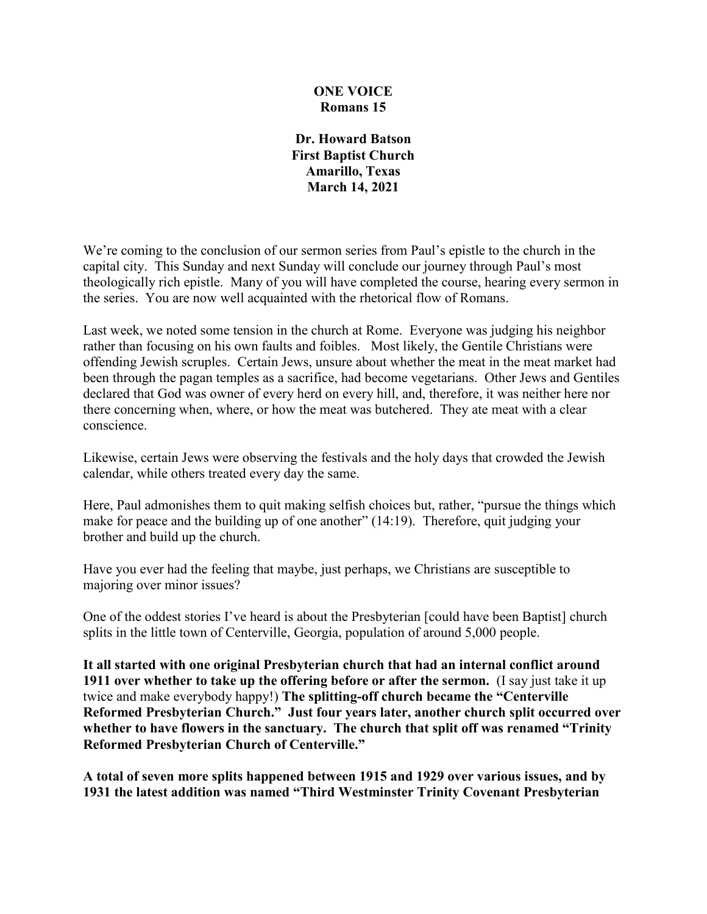#### **ONE VOICE Romans 15**

**Dr. Howard Batson First Baptist Church Amarillo, Texas March 14, 2021**

We're coming to the conclusion of our sermon series from Paul's epistle to the church in the capital city. This Sunday and next Sunday will conclude our journey through Paul's most theologically rich epistle. Many of you will have completed the course, hearing every sermon in the series. You are now well acquainted with the rhetorical flow of Romans.

Last week, we noted some tension in the church at Rome. Everyone was judging his neighbor rather than focusing on his own faults and foibles. Most likely, the Gentile Christians were offending Jewish scruples. Certain Jews, unsure about whether the meat in the meat market had been through the pagan temples as a sacrifice, had become vegetarians. Other Jews and Gentiles declared that God was owner of every herd on every hill, and, therefore, it was neither here nor there concerning when, where, or how the meat was butchered. They ate meat with a clear conscience.

Likewise, certain Jews were observing the festivals and the holy days that crowded the Jewish calendar, while others treated every day the same.

Here, Paul admonishes them to quit making selfish choices but, rather, "pursue the things which make for peace and the building up of one another" (14:19). Therefore, quit judging your brother and build up the church.

Have you ever had the feeling that maybe, just perhaps, we Christians are susceptible to majoring over minor issues?

One of the oddest stories I've heard is about the Presbyterian [could have been Baptist] church splits in the little town of Centerville, Georgia, population of around 5,000 people.

**It all started with one original Presbyterian church that had an internal conflict around 1911 over whether to take up the offering before or after the sermon.** (I say just take it up twice and make everybody happy!) **The splitting-off church became the "Centerville Reformed Presbyterian Church." Just four years later, another church split occurred over whether to have flowers in the sanctuary. The church that split off was renamed "Trinity Reformed Presbyterian Church of Centerville."**

**A total of seven more splits happened between 1915 and 1929 over various issues, and by 1931 the latest addition was named "Third Westminster Trinity Covenant Presbyterian**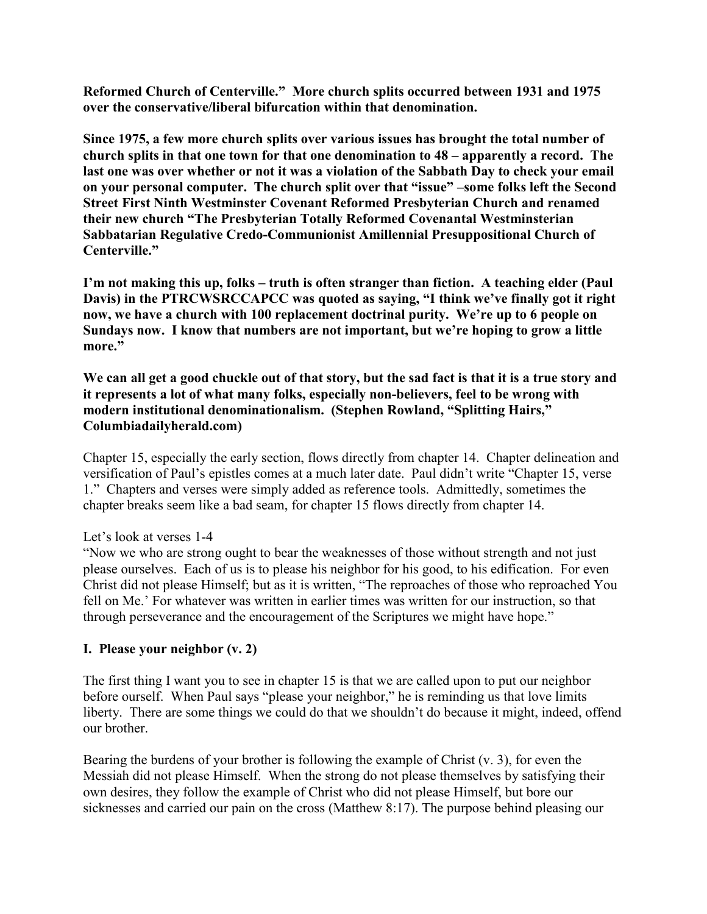**Reformed Church of Centerville." More church splits occurred between 1931 and 1975 over the conservative/liberal bifurcation within that denomination.**

**Since 1975, a few more church splits over various issues has brought the total number of church splits in that one town for that one denomination to 48 – apparently a record. The last one was over whether or not it was a violation of the Sabbath Day to check your email on your personal computer. The church split over that "issue" –some folks left the Second Street First Ninth Westminster Covenant Reformed Presbyterian Church and renamed their new church "The Presbyterian Totally Reformed Covenantal Westminsterian Sabbatarian Regulative Credo-Communionist Amillennial Presuppositional Church of Centerville."**

**I'm not making this up, folks – truth is often stranger than fiction. A teaching elder (Paul Davis) in the PTRCWSRCCAPCC was quoted as saying, "I think we've finally got it right now, we have a church with 100 replacement doctrinal purity. We're up to 6 people on Sundays now. I know that numbers are not important, but we're hoping to grow a little more."**

**We can all get a good chuckle out of that story, but the sad fact is that it is a true story and it represents a lot of what many folks, especially non-believers, feel to be wrong with modern institutional denominationalism. (Stephen Rowland, "Splitting Hairs," Columbiadailyherald.com)**

Chapter 15, especially the early section, flows directly from chapter 14. Chapter delineation and versification of Paul's epistles comes at a much later date. Paul didn't write "Chapter 15, verse 1." Chapters and verses were simply added as reference tools. Admittedly, sometimes the chapter breaks seem like a bad seam, for chapter 15 flows directly from chapter 14.

Let's look at verses 1-4

"Now we who are strong ought to bear the weaknesses of those without strength and not just please ourselves. Each of us is to please his neighbor for his good, to his edification. For even Christ did not please Himself; but as it is written, "The reproaches of those who reproached You fell on Me.' For whatever was written in earlier times was written for our instruction, so that through perseverance and the encouragement of the Scriptures we might have hope."

#### **I. Please your neighbor (v. 2)**

The first thing I want you to see in chapter 15 is that we are called upon to put our neighbor before ourself. When Paul says "please your neighbor," he is reminding us that love limits liberty. There are some things we could do that we shouldn't do because it might, indeed, offend our brother.

Bearing the burdens of your brother is following the example of Christ (v. 3), for even the Messiah did not please Himself. When the strong do not please themselves by satisfying their own desires, they follow the example of Christ who did not please Himself, but bore our sicknesses and carried our pain on the cross (Matthew 8:17). The purpose behind pleasing our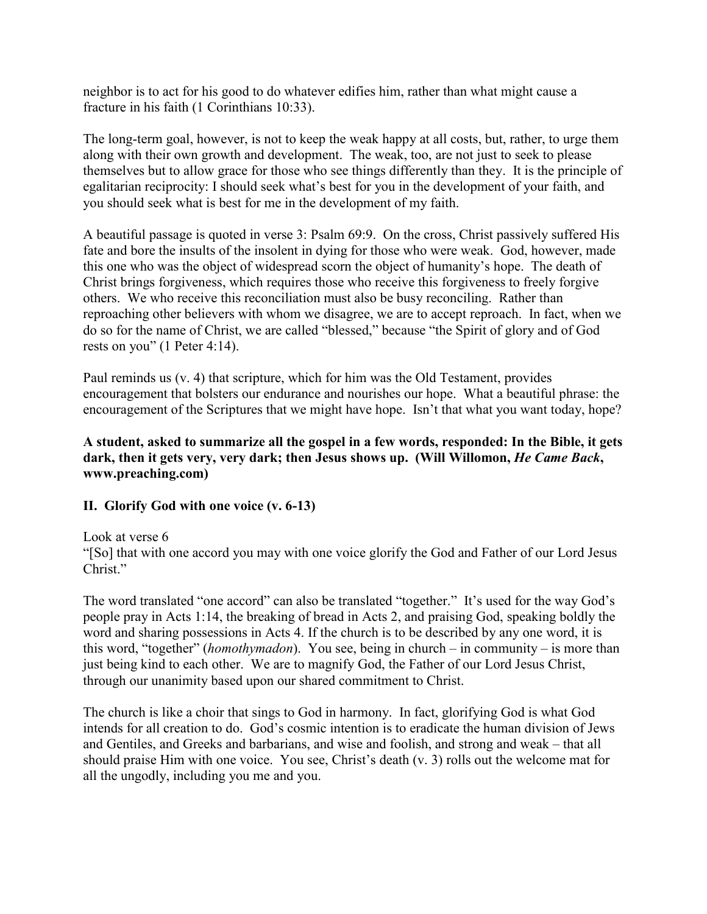neighbor is to act for his good to do whatever edifies him, rather than what might cause a fracture in his faith (1 Corinthians 10:33).

The long-term goal, however, is not to keep the weak happy at all costs, but, rather, to urge them along with their own growth and development. The weak, too, are not just to seek to please themselves but to allow grace for those who see things differently than they. It is the principle of egalitarian reciprocity: I should seek what's best for you in the development of your faith, and you should seek what is best for me in the development of my faith.

A beautiful passage is quoted in verse 3: Psalm 69:9. On the cross, Christ passively suffered His fate and bore the insults of the insolent in dying for those who were weak. God, however, made this one who was the object of widespread scorn the object of humanity's hope. The death of Christ brings forgiveness, which requires those who receive this forgiveness to freely forgive others. We who receive this reconciliation must also be busy reconciling. Rather than reproaching other believers with whom we disagree, we are to accept reproach. In fact, when we do so for the name of Christ, we are called "blessed," because "the Spirit of glory and of God rests on you" (1 Peter 4:14).

Paul reminds us (v. 4) that scripture, which for him was the Old Testament, provides encouragement that bolsters our endurance and nourishes our hope. What a beautiful phrase: the encouragement of the Scriptures that we might have hope. Isn't that what you want today, hope?

#### **A student, asked to summarize all the gospel in a few words, responded: In the Bible, it gets dark, then it gets very, very dark; then Jesus shows up. (Will Willomon,** *He Came Back***, www.preaching.com)**

# **II. Glorify God with one voice (v. 6-13)**

Look at verse 6

"[So] that with one accord you may with one voice glorify the God and Father of our Lord Jesus Christ."

The word translated "one accord" can also be translated "together." It's used for the way God's people pray in Acts 1:14, the breaking of bread in Acts 2, and praising God, speaking boldly the word and sharing possessions in Acts 4. If the church is to be described by any one word, it is this word, "together" (*homothymadon*). You see, being in church – in community – is more than just being kind to each other. We are to magnify God, the Father of our Lord Jesus Christ, through our unanimity based upon our shared commitment to Christ.

The church is like a choir that sings to God in harmony. In fact, glorifying God is what God intends for all creation to do. God's cosmic intention is to eradicate the human division of Jews and Gentiles, and Greeks and barbarians, and wise and foolish, and strong and weak – that all should praise Him with one voice. You see, Christ's death (v. 3) rolls out the welcome mat for all the ungodly, including you me and you.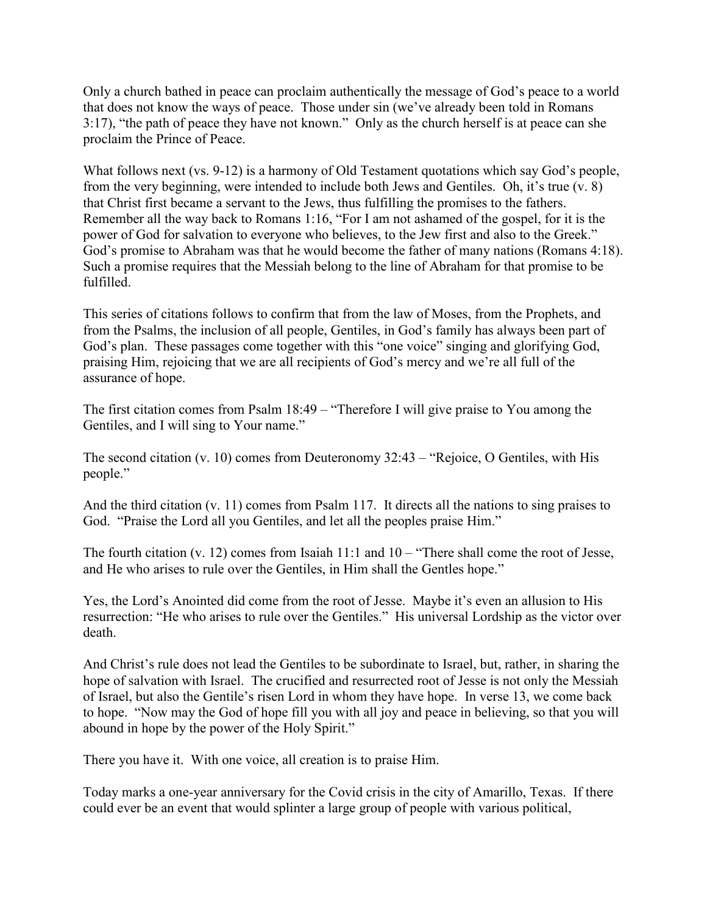Only a church bathed in peace can proclaim authentically the message of God's peace to a world that does not know the ways of peace. Those under sin (we've already been told in Romans 3:17), "the path of peace they have not known." Only as the church herself is at peace can she proclaim the Prince of Peace.

What follows next (vs. 9-12) is a harmony of Old Testament quotations which say God's people, from the very beginning, were intended to include both Jews and Gentiles. Oh, it's true (v. 8) that Christ first became a servant to the Jews, thus fulfilling the promises to the fathers. Remember all the way back to Romans 1:16, "For I am not ashamed of the gospel, for it is the power of God for salvation to everyone who believes, to the Jew first and also to the Greek." God's promise to Abraham was that he would become the father of many nations (Romans 4:18). Such a promise requires that the Messiah belong to the line of Abraham for that promise to be fulfilled.

This series of citations follows to confirm that from the law of Moses, from the Prophets, and from the Psalms, the inclusion of all people, Gentiles, in God's family has always been part of God's plan. These passages come together with this "one voice" singing and glorifying God, praising Him, rejoicing that we are all recipients of God's mercy and we're all full of the assurance of hope.

The first citation comes from Psalm 18:49 – "Therefore I will give praise to You among the Gentiles, and I will sing to Your name."

The second citation (v. 10) comes from Deuteronomy 32:43 – "Rejoice, O Gentiles, with His people."

And the third citation (v. 11) comes from Psalm 117. It directs all the nations to sing praises to God. "Praise the Lord all you Gentiles, and let all the peoples praise Him."

The fourth citation (v. 12) comes from Isaiah 11:1 and 10 – "There shall come the root of Jesse, and He who arises to rule over the Gentiles, in Him shall the Gentles hope."

Yes, the Lord's Anointed did come from the root of Jesse. Maybe it's even an allusion to His resurrection: "He who arises to rule over the Gentiles." His universal Lordship as the victor over death.

And Christ's rule does not lead the Gentiles to be subordinate to Israel, but, rather, in sharing the hope of salvation with Israel. The crucified and resurrected root of Jesse is not only the Messiah of Israel, but also the Gentile's risen Lord in whom they have hope. In verse 13, we come back to hope. "Now may the God of hope fill you with all joy and peace in believing, so that you will abound in hope by the power of the Holy Spirit."

There you have it. With one voice, all creation is to praise Him.

Today marks a one-year anniversary for the Covid crisis in the city of Amarillo, Texas. If there could ever be an event that would splinter a large group of people with various political,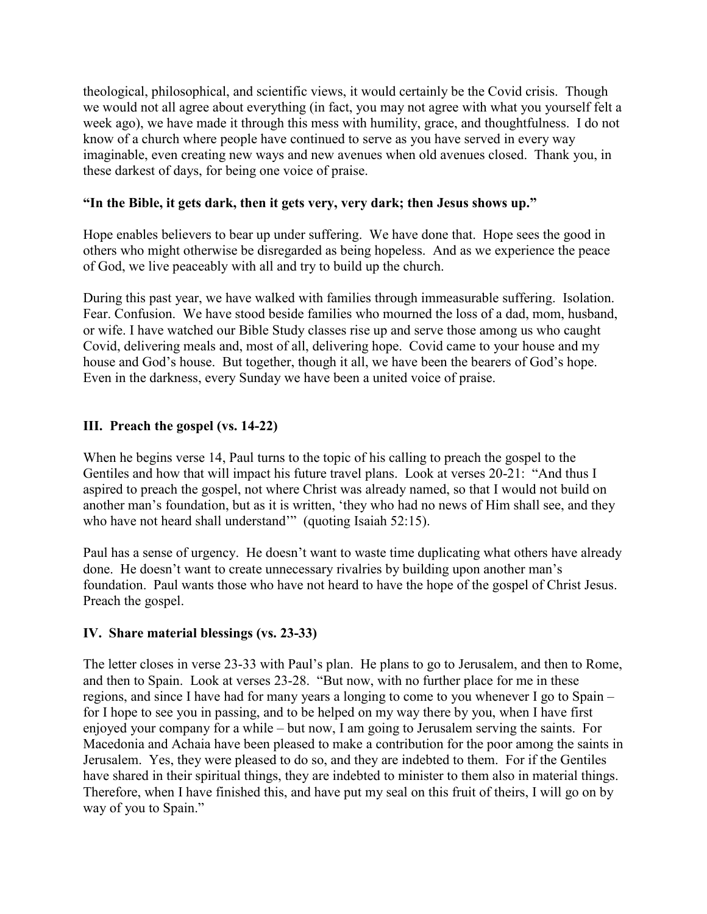theological, philosophical, and scientific views, it would certainly be the Covid crisis. Though we would not all agree about everything (in fact, you may not agree with what you yourself felt a week ago), we have made it through this mess with humility, grace, and thoughtfulness. I do not know of a church where people have continued to serve as you have served in every way imaginable, even creating new ways and new avenues when old avenues closed. Thank you, in these darkest of days, for being one voice of praise.

# **"In the Bible, it gets dark, then it gets very, very dark; then Jesus shows up."**

Hope enables believers to bear up under suffering. We have done that. Hope sees the good in others who might otherwise be disregarded as being hopeless. And as we experience the peace of God, we live peaceably with all and try to build up the church.

During this past year, we have walked with families through immeasurable suffering. Isolation. Fear. Confusion. We have stood beside families who mourned the loss of a dad, mom, husband, or wife. I have watched our Bible Study classes rise up and serve those among us who caught Covid, delivering meals and, most of all, delivering hope. Covid came to your house and my house and God's house. But together, though it all, we have been the bearers of God's hope. Even in the darkness, every Sunday we have been a united voice of praise.

# **III. Preach the gospel (vs. 14-22)**

When he begins verse 14, Paul turns to the topic of his calling to preach the gospel to the Gentiles and how that will impact his future travel plans. Look at verses 20-21: "And thus I aspired to preach the gospel, not where Christ was already named, so that I would not build on another man's foundation, but as it is written, 'they who had no news of Him shall see, and they who have not heard shall understand" (quoting Isaiah 52:15).

Paul has a sense of urgency. He doesn't want to waste time duplicating what others have already done. He doesn't want to create unnecessary rivalries by building upon another man's foundation. Paul wants those who have not heard to have the hope of the gospel of Christ Jesus. Preach the gospel.

# **IV. Share material blessings (vs. 23-33)**

The letter closes in verse 23-33 with Paul's plan. He plans to go to Jerusalem, and then to Rome, and then to Spain. Look at verses 23-28. "But now, with no further place for me in these regions, and since I have had for many years a longing to come to you whenever I go to Spain – for I hope to see you in passing, and to be helped on my way there by you, when I have first enjoyed your company for a while – but now, I am going to Jerusalem serving the saints. For Macedonia and Achaia have been pleased to make a contribution for the poor among the saints in Jerusalem. Yes, they were pleased to do so, and they are indebted to them. For if the Gentiles have shared in their spiritual things, they are indebted to minister to them also in material things. Therefore, when I have finished this, and have put my seal on this fruit of theirs, I will go on by way of you to Spain."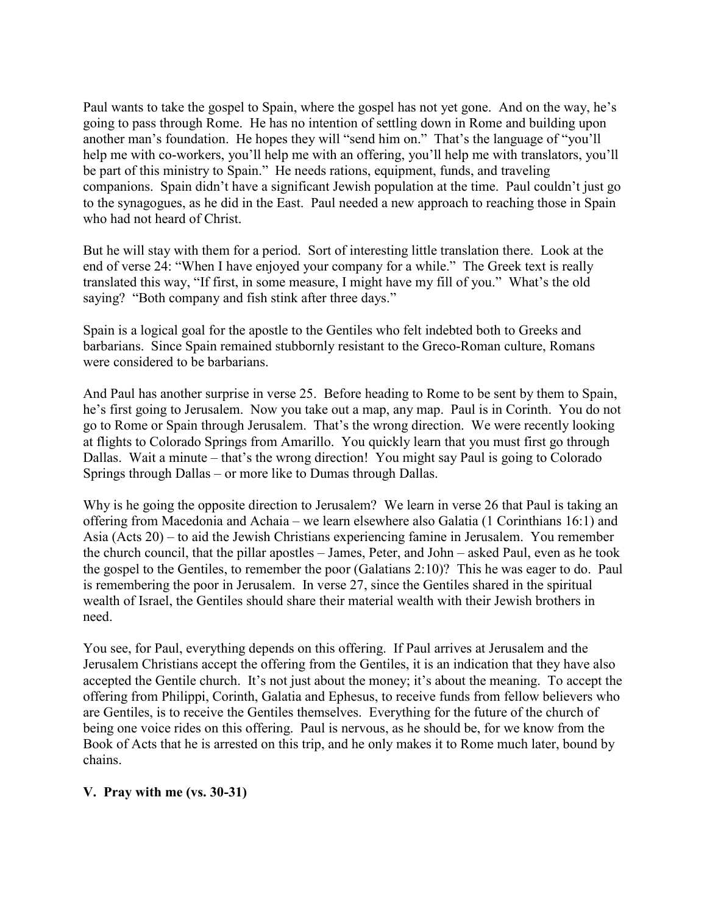Paul wants to take the gospel to Spain, where the gospel has not yet gone. And on the way, he's going to pass through Rome. He has no intention of settling down in Rome and building upon another man's foundation. He hopes they will "send him on." That's the language of "you'll help me with co-workers, you'll help me with an offering, you'll help me with translators, you'll be part of this ministry to Spain." He needs rations, equipment, funds, and traveling companions. Spain didn't have a significant Jewish population at the time. Paul couldn't just go to the synagogues, as he did in the East. Paul needed a new approach to reaching those in Spain who had not heard of Christ.

But he will stay with them for a period. Sort of interesting little translation there. Look at the end of verse 24: "When I have enjoyed your company for a while." The Greek text is really translated this way, "If first, in some measure, I might have my fill of you." What's the old saying? "Both company and fish stink after three days."

Spain is a logical goal for the apostle to the Gentiles who felt indebted both to Greeks and barbarians. Since Spain remained stubbornly resistant to the Greco-Roman culture, Romans were considered to be barbarians.

And Paul has another surprise in verse 25. Before heading to Rome to be sent by them to Spain, he's first going to Jerusalem. Now you take out a map, any map. Paul is in Corinth. You do not go to Rome or Spain through Jerusalem. That's the wrong direction. We were recently looking at flights to Colorado Springs from Amarillo. You quickly learn that you must first go through Dallas. Wait a minute – that's the wrong direction! You might say Paul is going to Colorado Springs through Dallas – or more like to Dumas through Dallas.

Why is he going the opposite direction to Jerusalem? We learn in verse 26 that Paul is taking an offering from Macedonia and Achaia – we learn elsewhere also Galatia (1 Corinthians 16:1) and Asia (Acts 20) – to aid the Jewish Christians experiencing famine in Jerusalem. You remember the church council, that the pillar apostles – James, Peter, and John – asked Paul, even as he took the gospel to the Gentiles, to remember the poor (Galatians 2:10)? This he was eager to do. Paul is remembering the poor in Jerusalem. In verse 27, since the Gentiles shared in the spiritual wealth of Israel, the Gentiles should share their material wealth with their Jewish brothers in need.

You see, for Paul, everything depends on this offering. If Paul arrives at Jerusalem and the Jerusalem Christians accept the offering from the Gentiles, it is an indication that they have also accepted the Gentile church. It's not just about the money; it's about the meaning. To accept the offering from Philippi, Corinth, Galatia and Ephesus, to receive funds from fellow believers who are Gentiles, is to receive the Gentiles themselves. Everything for the future of the church of being one voice rides on this offering. Paul is nervous, as he should be, for we know from the Book of Acts that he is arrested on this trip, and he only makes it to Rome much later, bound by chains.

#### **V. Pray with me (vs. 30-31)**